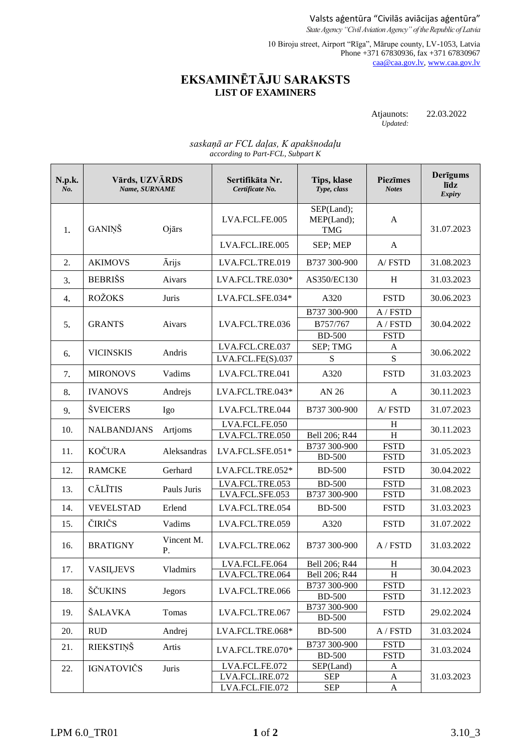Valsts aģentūra "Civilās aviācijas aģentūra" *State Agency "Civil Aviation Agency" of the Republic of Latvia*

10 Biroju street, Airport "Rīga", Mārupe county, LV-1053, Latvia Phone +371 67830936, fax +371 67830967 [caa@caa.gov.lv,](mailto:caa@caa.gov.lv) [www.caa.gov.lv](http://www.caa.gov.lv/)

## **EKSAMINĒTĀJU SARAKSTS LIST OF EXAMINERS**

| Atjaunots: | 22.03.2022 |
|------------|------------|
| Updated:   |            |

## *saskaņā ar FCL daļas, K apakšnodaļu according to Part-FCL, Subpart K*

| N.p.k.<br>No. | Vārds, UZVĀRDS<br>Name, SURNAME |                  | Sertifikāta Nr.<br>Certificate No.                   | <b>Tips, klase</b><br>Type, class         | <b>Piezīmes</b><br><b>Notes</b>     | Derīgums<br>līdz<br>Expiry |
|---------------|---------------------------------|------------------|------------------------------------------------------|-------------------------------------------|-------------------------------------|----------------------------|
| 1.            | GANIŅŠ                          | Ojārs            | LVA.FCL.FE.005                                       | SEP(Land);<br>MEP(Land);<br><b>TMG</b>    | A                                   | 31.07.2023                 |
|               |                                 |                  | LVA.FCL.IRE.005                                      | SEP; MEP                                  | A                                   |                            |
| 2.            | <b>AKIMOVS</b>                  | Ārijs            | LVA.FCL.TRE.019                                      | B737 300-900                              | A/FSTD                              | 31.08.2023                 |
| 3.            | <b>BEBRIŠS</b>                  | Aivars           | LVA.FCL.TRE.030*                                     | AS350/EC130                               | H                                   | 31.03.2023                 |
| 4.            | <b>ROŽOKS</b>                   | Juris            | LVA.FCL.SFE.034*                                     | A320                                      | <b>FSTD</b>                         | 30.06.2023                 |
| 5.            | <b>GRANTS</b>                   | Aivars           | LVA.FCL.TRE.036                                      | B737 300-900<br>B757/767<br><b>BD-500</b> | A / FSTD<br>A / FSTD<br><b>FSTD</b> | 30.04.2022                 |
| 6.            | <b>VICINSKIS</b>                | Andris           | LVA.FCL.CRE.037<br>LVA.FCL.FE(S).037                 | SEP; TMG<br>${\bf S}$                     | A<br>S                              | 30.06.2022                 |
| 7.            | <b>MIRONOVS</b>                 | Vadims           | LVA.FCL.TRE.041                                      | A320                                      | <b>FSTD</b>                         | 31.03.2023                 |
| 8.            | <b>IVANOVS</b>                  | Andrejs          | LVA.FCL.TRE.043*                                     | AN 26                                     | A                                   | 30.11.2023                 |
| 9.            | <b>ŠVEICERS</b>                 | Igo              | LVA.FCL.TRE.044                                      | B737 300-900                              | A/FSTD                              | 31.07.2023                 |
| 10.           | <b>NALBANDJANS</b>              | Artjoms          | LVA.FCL.FE.050<br>LVA.FCL.TRE.050                    | Bell 206; R44                             | H<br>H                              | 30.11.2023                 |
| 11.           | <b>KOČURA</b>                   | Aleksandras      | LVA.FCL.SFE.051*                                     | B737 300-900<br><b>BD-500</b>             | <b>FSTD</b><br><b>FSTD</b>          | 31.05.2023                 |
| 12.           | <b>RAMCKE</b>                   | Gerhard          | LVA.FCL.TRE.052*                                     | <b>BD-500</b>                             | <b>FSTD</b>                         | 30.04.2022                 |
| 13.           | <b>CĀLĪTIS</b>                  | Pauls Juris      | LVA.FCL.TRE.053<br>LVA.FCL.SFE.053                   | <b>BD-500</b><br>B737 300-900             | <b>FSTD</b><br><b>FSTD</b>          | 31.08.2023                 |
| 14.           | <b>VEVELSTAD</b>                | Erlend           | LVA.FCL.TRE.054                                      | <b>BD-500</b>                             | <b>FSTD</b>                         | 31.03.2023                 |
| 15.           | ČIRIČS                          | Vadims           | LVA.FCL.TRE.059                                      | A320                                      | <b>FSTD</b>                         | 31.07.2022                 |
| 16.           | <b>BRATIGNY</b>                 | Vincent M.<br>Ρ. | LVA.FCL.TRE.062                                      | B737 300-900                              | A / FSTD                            | 31.03.2022                 |
| 17.           | <b>VASILJEVS</b>                | Vladmirs         | LVA.FCL.FE.064<br>LVA.FCL.TRE.064                    | Bell 206; R44<br>Bell 206; R44            | $H_{\rm}$<br>H                      | 30.04.2023                 |
| 18.           | ŠČUKINS                         | <b>Jegors</b>    | LVA.FCL.TRE.066                                      | B737 300-900<br><b>BD-500</b>             | <b>FSTD</b><br><b>FSTD</b>          | 31.12.2023                 |
| 19.           | ŠALAVKA                         | Tomas            | LVA.FCL.TRE.067                                      | B737 300-900<br><b>BD-500</b>             | <b>FSTD</b>                         | 29.02.2024                 |
| 20.           | <b>RUD</b>                      | Andrej           | LVA.FCL.TRE.068*                                     | <b>BD-500</b>                             | A / FSTD                            | 31.03.2024                 |
| 21.           | <b>RIEKSTIŅŠ</b>                | Artis            | LVA.FCL.TRE.070*                                     | B737 300-900<br><b>BD-500</b>             | <b>FSTD</b><br><b>FSTD</b>          | 31.03.2024                 |
| 22.           | <b>IGNATOVIČS</b>               | Juris            | LVA.FCL.FE.072<br>LVA.FCL.IRE.072<br>LVA.FCL.FIE.072 | SEP(Land)<br><b>SEP</b><br><b>SEP</b>     | A<br>A<br>A                         | 31.03.2023                 |